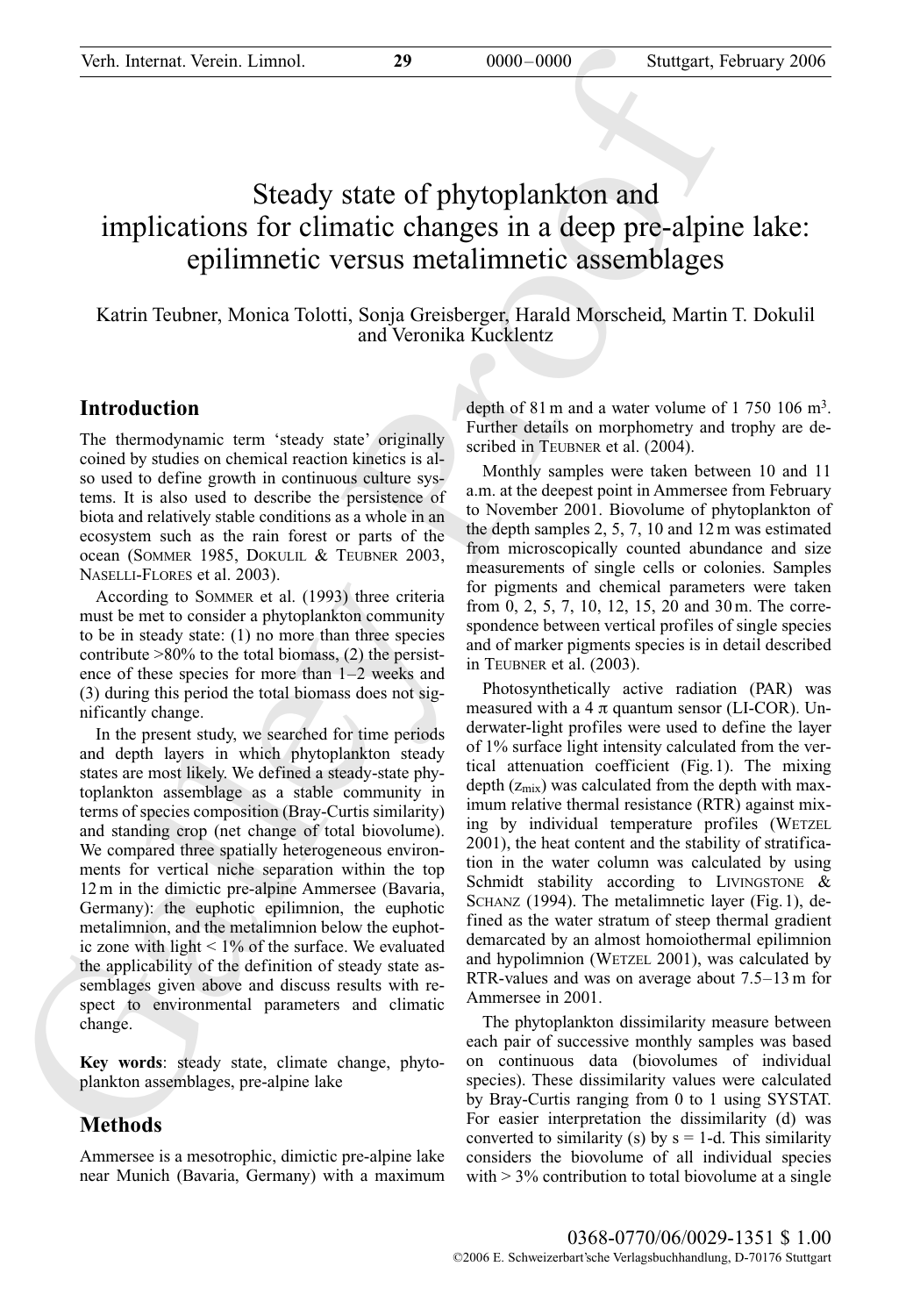# Steady state of phytoplankton and implications for climatic changes in a deep pre-alpine lake: epilimnetic versus metalimnetic assemblages

Katrin Teubner, Monica Tolotti, Sonja Greisberger, Harald Morscheid, Martin T. Dokulil and Veronika Kucklentz

# **Introduction**

The thermodynamic term 'steady state' originally coined by studies on chemical reaction kinetics is also used to define growth in continuous culture systems. It is also used to describe the persistence of biota and relatively stable conditions as a whole in an ecosystem such as the rain forest or parts of the ocean (SOMMER 1985, DOKULIL & TEUBNER 2003, NASELLI-FLORES et al. 2003).

According to SOMMER et al. (1993) three criteria must be met to consider a phytoplankton community to be in steady state: (1) no more than three species contribute >80% to the total biomass, (2) the persistence of these species for more than 1–2 weeks and (3) during this period the total biomass does not significantly change.

Verh. Internat. Verein. Linnol. 29<br>
Steudy state of phytoplankton and<br>
implications for climatic changes in a dcop pre-alpin<br>
implications for climatic changes in a dcop pre-alpin<br>
epilimmetic versus metallimmetic assembl In the present study, we searched for time periods and depth layers in which phytoplankton steady states are most likely. We defined a steady-state phytoplankton assemblage as a stable community in terms of species composition (Bray-Curtis similarity) and standing crop (net change of total biovolume). We compared three spatially heterogeneous environments for vertical niche separation within the top 12 m in the dimictic pre-alpine Ammersee (Bavaria, Germany): the euphotic epilimnion, the euphotic metalimnion, and the metalimnion below the euphotic zone with light  $\leq 1\%$  of the surface. We evaluated the applicability of the definition of steady state assemblages given above and discuss results with respect to environmental parameters and climatic change.

**Key words**: steady state, climate change, phytoplankton assemblages, pre-alpine lake

# **Methods**

Ammersee is a mesotrophic, dimictic pre-alpine lake near Munich (Bavaria, Germany) with a maximum depth of 81 m and a water volume of 1 750 106 m<sup>3</sup>. Further details on morphometry and trophy are described in TEUBNER et al. (2004).

Monthly samples were taken between 10 and 11 a.m. at the deepest point in Ammersee from February to November 2001. Biovolume of phytoplankton of the depth samples 2, 5, 7, 10 and 12 m was estimated from microscopically counted abundance and size measurements of single cells or colonies. Samples for pigments and chemical parameters were taken from 0, 2, 5, 7, 10, 12, 15, 20 and 30 m. The correspondence between vertical profiles of single species and of marker pigments species is in detail described in TEUBNER et al. (2003).

Photosynthetically active radiation (PAR) was measured with a 4  $\pi$  quantum sensor (LI-COR). Underwater-light profiles were used to define the layer of 1% surface light intensity calculated from the vertical attenuation coefficient (Fig.1). The mixing depth  $(z<sub>mix</sub>)$  was calculated from the depth with maximum relative thermal resistance (RTR) against mixing by individual temperature profiles (WETZEL 2001), the heat content and the stability of stratification in the water column was calculated by using Schmidt stability according to LIVINGSTONE & SCHANZ (1994). The metalimnetic layer (Fig.1), defined as the water stratum of steep thermal gradient demarcated by an almost homoiothermal epilimnion and hypolimnion (WETZEL 2001), was calculated by RTR-values and was on average about 7.5–13 m for Ammersee in 2001.

The phytoplankton dissimilarity measure between each pair of successive monthly samples was based on continuous data (biovolumes of individual species). These dissimilarity values were calculated by Bray-Curtis ranging from 0 to 1 using SYSTAT. For easier interpretation the dissimilarity (d) was converted to similarity (s) by  $s = 1-d$ . This similarity considers the biovolume of all individual species with  $> 3\%$  contribution to total biovolume at a single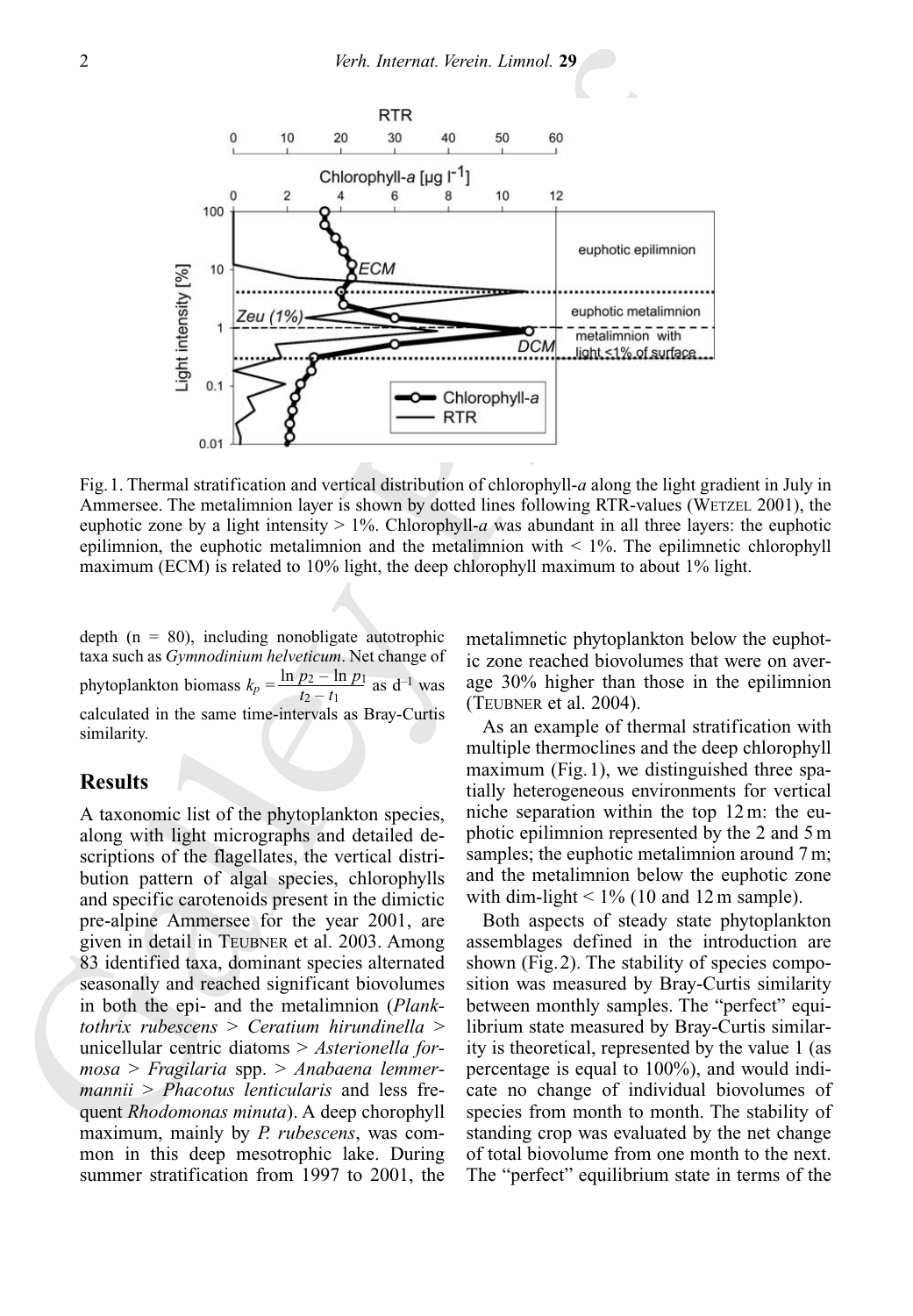

Fig.1. Thermal stratification and vertical distribution of chlorophyll-*a* along the light gradient in July in Ammersee. The metalimnion layer is shown by dotted lines following RTR-values (WETZEL 2001), the euphotic zone by a light intensity > 1%. Chlorophyll-*a* was abundant in all three layers: the euphotic epilimnion, the euphotic metalimnion and the metalimnion with  $\leq 1\%$ . The epilimnetic chlorophyll maximum (ECM) is related to 10% light, the deep chlorophyll maximum to about 1% light.

depth  $(n = 80)$ , including nonobligate autotrophic taxa such as *Gymnodinium helveticum*. Net change of phytoplankton biomass  $k_p = \frac{\ln p_2 - \ln p_1}{t_2 - t_1}$  as  $d^{-1}$  was calculated in the same time-intervals as Bray-Curtis similarity.

### **Results**

A taxonomic list of the phytoplankton species, along with light micrographs and detailed descriptions of the flagellates, the vertical distribution pattern of algal species, chlorophylls and specific carotenoids present in the dimictic pre-alpine Ammersee for the year 2001, are given in detail in TEUBNER et al. 2003. Among 83 identified taxa, dominant species alternated seasonally and reached significant biovolumes in both the epi- and the metalimnion (*Planktothrix rubescens* > *Ceratium hirundinella* > unicellular centric diatoms > *Asterionella formosa* > *Fragilaria* spp. > *Anabaena lemmermannii* > *Phacotus lenticularis* and less frequent *Rhodomonas minuta*). A deep chorophyll maximum, mainly by *P. rubescens*, was common in this deep mesotrophic lake. During summer stratification from 1997 to 2001, the

metalimnetic phytoplankton below the euphotic zone reached biovolumes that were on average 30% higher than those in the epilimnion (TEUBNER et al. 2004).

As an example of thermal stratification with multiple thermoclines and the deep chlorophyll maximum (Fig.1), we distinguished three spatially heterogeneous environments for vertical niche separation within the top 12 m: the euphotic epilimnion represented by the 2 and 5 m samples; the euphotic metalimnion around 7 m; and the metalimnion below the euphotic zone with dim-light  $< 1\%$  (10 and 12 m sample).

Both aspects of steady state phytoplankton assemblages defined in the introduction are shown (Fig.2). The stability of species composition was measured by Bray-Curtis similarity between monthly samples. The "perfect" equilibrium state measured by Bray-Curtis similarity is theoretical, represented by the value 1 (as percentage is equal to 100%), and would indicate no change of individual biovolumes of species from month to month. The stability of standing crop was evaluated by the net change of total biovolume from one month to the next. The "perfect" equilibrium state in terms of the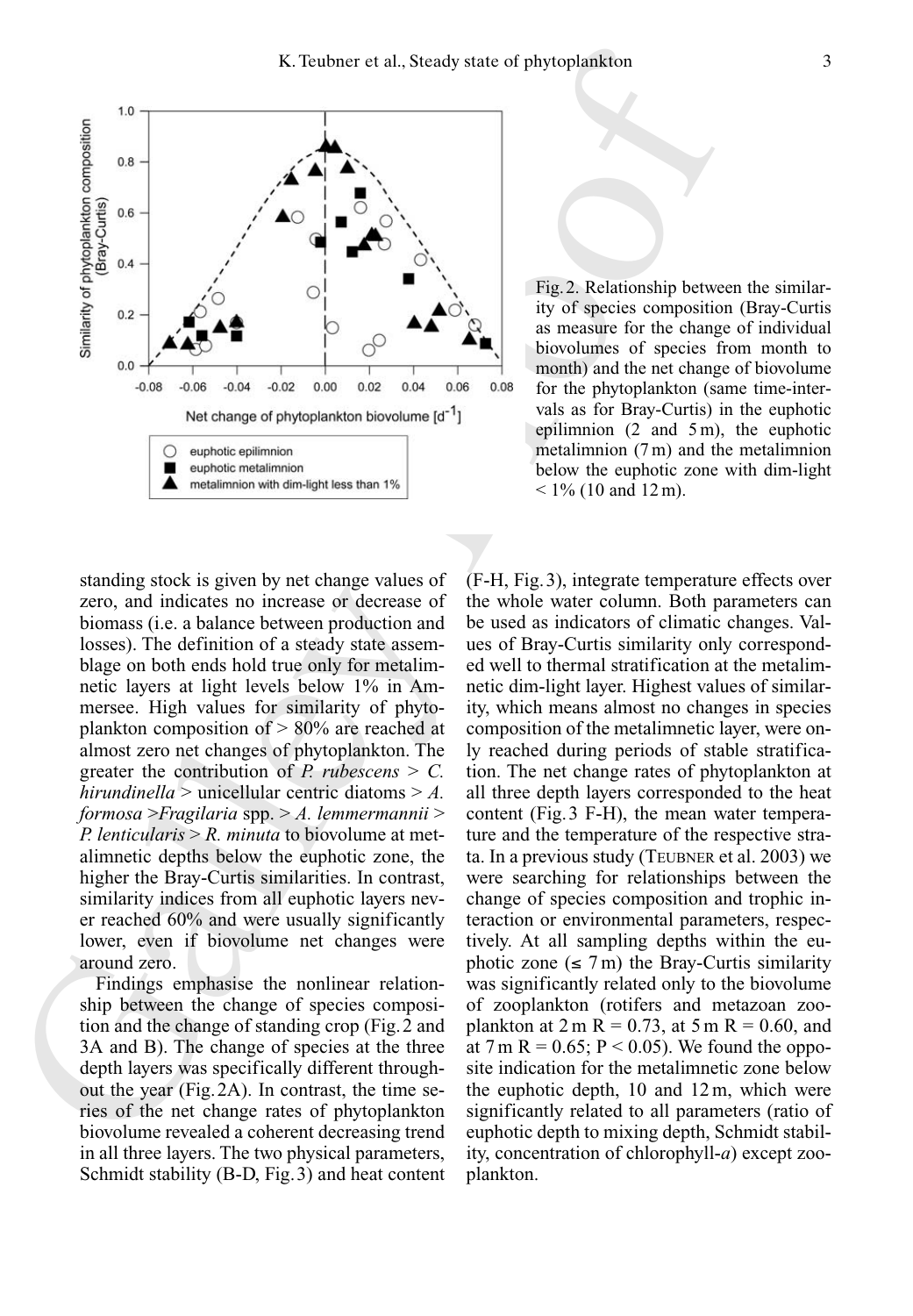

Fig.2. Relationship between the similarity of species composition (Bray-Curtis as measure for the change of individual biovolumes of species from month to month) and the net change of biovolume for the phytoplankton (same time-intervals as for Bray-Curtis) in the euphotic epilimnion (2 and 5 m), the euphotic metalimnion (7 m) and the metalimnion below the euphotic zone with dim-light  $< 1\%$  (10 and 12 m).

standing stock is given by net change values of zero, and indicates no increase or decrease of biomass (i.e. a balance between production and losses). The definition of a steady state assemblage on both ends hold true only for metalimnetic layers at light levels below 1% in Ammersee. High values for similarity of phytoplankton composition of > 80% are reached at almost zero net changes of phytoplankton. The greater the contribution of *P. rubescens*  $> C$ . *hirundinella* > unicellular centric diatoms > *A. formosa* >*Fragilaria* spp. > *A. lemmermannii* > *P. lenticularis* > *R. minuta* to biovolume at metalimnetic depths below the euphotic zone, the higher the Bray-Curtis similarities. In contrast, similarity indices from all euphotic layers never reached 60% and were usually significantly lower, even if biovolume net changes were around zero.

Findings emphasise the nonlinear relationship between the change of species composition and the change of standing crop (Fig.2 and 3A and B). The change of species at the three depth layers was specifically different throughout the year (Fig.2A). In contrast, the time series of the net change rates of phytoplankton biovolume revealed a coherent decreasing trend in all three layers. The two physical parameters, Schmidt stability (B-D, Fig.3) and heat content (F-H, Fig.3), integrate temperature effects over the whole water column. Both parameters can be used as indicators of climatic changes. Values of Bray-Curtis similarity only corresponded well to thermal stratification at the metalimnetic dim-light layer. Highest values of similarity, which means almost no changes in species composition of the metalimnetic layer, were only reached during periods of stable stratification. The net change rates of phytoplankton at all three depth layers corresponded to the heat content (Fig.3 F-H), the mean water temperature and the temperature of the respective strata. In a previous study (TEUBNER et al. 2003) we were searching for relationships between the change of species composition and trophic interaction or environmental parameters, respectively. At all sampling depths within the euphotic zone  $(\leq 7 \text{ m})$  the Bray-Curtis similarity was significantly related only to the biovolume of zooplankton (rotifers and metazoan zooplankton at  $2 m R = 0.73$ , at  $5 m R = 0.60$ , and at 7 m R = 0.65; P < 0.05). We found the opposite indication for the metalimnetic zone below the euphotic depth, 10 and 12 m, which were significantly related to all parameters (ratio of euphotic depth to mixing depth, Schmidt stability, concentration of chlorophyll-*a*) except zooplankton.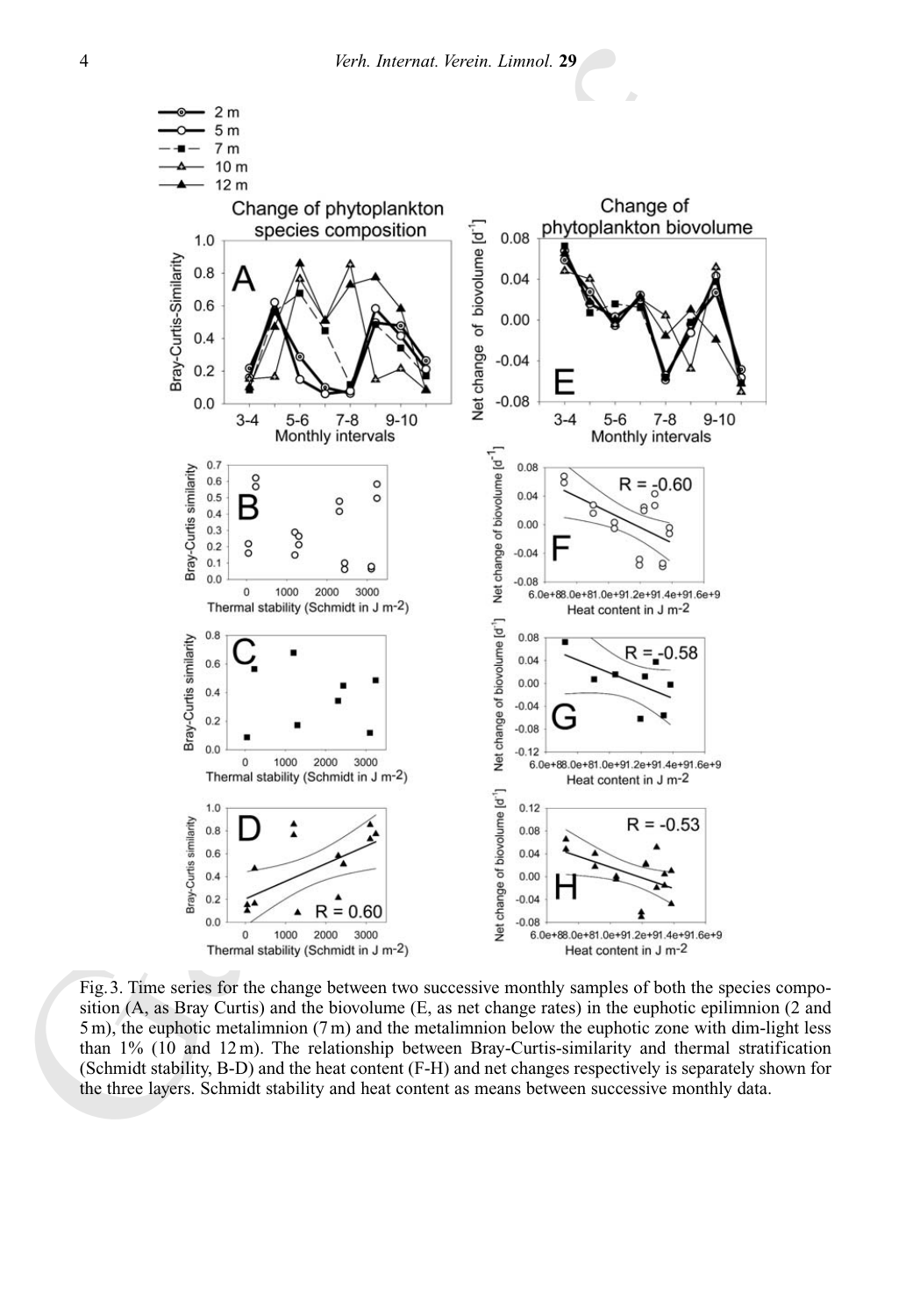

Fig.3. Time series for the change between two successive monthly samples of both the species composition (A, as Bray Curtis) and the biovolume (E, as net change rates) in the euphotic epilimnion (2 and  $5 \text{ m}$ ), the euphotic metalimnion  $(7 \text{ m})$  and the metalimnion below the euphotic zone with dim-light less than 1% (10 and 12 m). The relationship between Bray-Curtis-similarity and thermal stratification (Schmidt stability, B-D) and the heat content (F-H) and net changes respectively is separately shown for the three layers. Schmidt stability and heat content as means between successive monthly data.